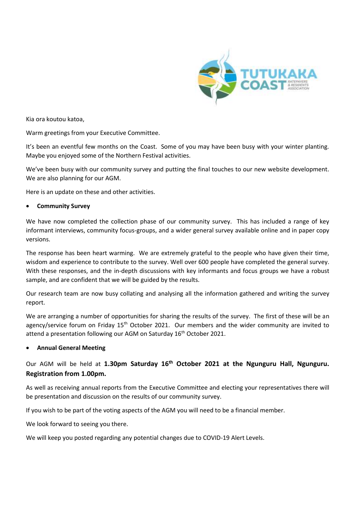

Kia ora koutou katoa,

Warm greetings from your Executive Committee.

It's been an eventful few months on the Coast. Some of you may have been busy with your winter planting. Maybe you enjoyed some of the Northern Festival activities.

We've been busy with our community survey and putting the final touches to our new website development. We are also planning for our AGM.

Here is an update on these and other activities.

# • **Community Survey**

We have now completed the collection phase of our community survey. This has included a range of key informant interviews, community focus-groups, and a wider general survey available online and in paper copy versions.

The response has been heart warming. We are extremely grateful to the people who have given their time, wisdom and experience to contribute to the survey. Well over 600 people have completed the general survey. With these responses, and the in-depth discussions with key informants and focus groups we have a robust sample, and are confident that we will be guided by the results.

Our research team are now busy collating and analysing all the information gathered and writing the survey report.

We are arranging a number of opportunities for sharing the results of the survey. The first of these will be an agency/service forum on Friday  $15<sup>th</sup>$  October 2021. Our members and the wider community are invited to attend a presentation following our AGM on Saturday 16<sup>th</sup> October 2021.

### • **Annual General Meeting**

# Our AGM will be held at **1.30pm Saturday 16th October 2021 at the Ngunguru Hall, Ngunguru. Registration from 1.00pm.**

As well as receiving annual reports from the Executive Committee and electing your representatives there will be presentation and discussion on the results of our community survey.

If you wish to be part of the voting aspects of the AGM you will need to be a financial member.

We look forward to seeing you there.

We will keep you posted regarding any potential changes due to COVID-19 Alert Levels.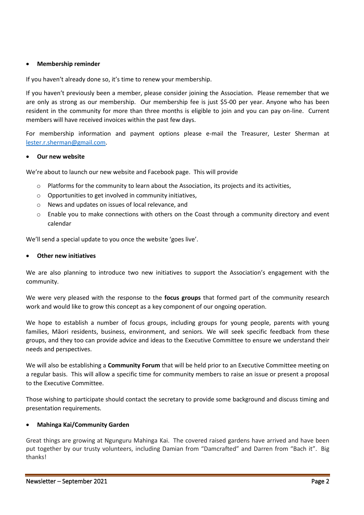# • **Membership reminder**

If you haven't already done so, it's time to renew your membership.

If you haven't previously been a member, please consider joining the Association. Please remember that we are only as strong as our membership. Our membership fee is just \$5-00 per year. Anyone who has been resident in the community for more than three months is eligible to join and you can pay on-line. Current members will have received invoices within the past few days.

For membership information and payment options please e-mail the Treasurer, Lester Sherman at [lester.r.sherman@gmail.com.](mailto:lester.r.sherman@gmail.com)

#### • **Our new website**

We're about to launch our new website and Facebook page. This will provide

- o Platforms for the community to learn about the Association, its projects and its activities,
- o Opportunities to get involved in community initiatives,
- o News and updates on issues of local relevance, and
- $\circ$  Enable you to make connections with others on the Coast through a community directory and event calendar

We'll send a special update to you once the website 'goes live'.

#### • **Other new initiatives**

We are also planning to introduce two new initiatives to support the Association's engagement with the community.

We were very pleased with the response to the **focus groups** that formed part of the community research work and would like to grow this concept as a key component of our ongoing operation.

We hope to establish a number of focus groups, including groups for young people, parents with young families, Māori residents, business, environment, and seniors. We will seek specific feedback from these groups, and they too can provide advice and ideas to the Executive Committee to ensure we understand their needs and perspectives.

We will also be establishing a **Community Forum** that will be held prior to an Executive Committee meeting on a regular basis. This will allow a specific time for community members to raise an issue or present a proposal to the Executive Committee.

Those wishing to participate should contact the secretary to provide some background and discuss timing and presentation requirements.

### • **Mahinga Kai/Community Garden**

Great things are growing at Ngunguru Mahinga Kai. The covered raised gardens have arrived and have been put together by our trusty volunteers, including Damian from "Damcrafted" and Darren from "Bach it". Big thanks!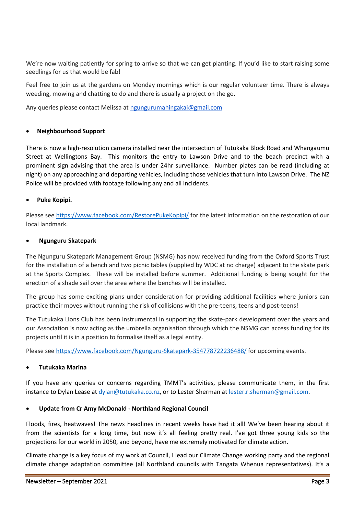We're now waiting patiently for spring to arrive so that we can get planting. If you'd like to start raising some seedlings for us that would be fab!

Feel free to join us at the gardens on Monday mornings which is our regular volunteer time. There is always weeding, mowing and chatting to do and there is usually a project on the go.

Any queries please contact Melissa at [ngungurumahingakai@gmail.com](mailto:ngungurumahingakai@gmail.com)

### • **Neighbourhood Support**

There is now a high-resolution camera installed near the intersection of Tutukaka Block Road and Whangaumu Street at Wellingtons Bay. This monitors the entry to Lawson Drive and to the beach precinct with a prominent sign advising that the area is under 24hr surveillance. Number plates can be read (including at night) on any approaching and departing vehicles, including those vehicles that turn into Lawson Drive. The NZ Police will be provided with footage following any and all incidents.

### • **Puke Kopipi.**

Please se[e https://www.facebook.com/RestorePukeKopipi/](https://www.facebook.com/RestorePukeKopipi/) for the latest information on the restoration of our local landmark.

### • **Ngunguru Skatepark**

The Ngunguru Skatepark Management Group (NSMG) has now received funding from the Oxford Sports Trust for the installation of a bench and two picnic tables (supplied by WDC at no charge) adjacent to the skate park at the Sports Complex. These will be installed before summer. Additional funding is being sought for the erection of a shade sail over the area where the benches will be installed.

The group has some exciting plans under consideration for providing additional facilities where juniors can practice their moves without running the risk of collisions with the pre-teens, teens and post-teens!

The Tutukaka Lions Club has been instrumental in supporting the skate-park development over the years and our Association is now acting as the umbrella organisation through which the NSMG can access funding for its projects until it is in a position to formalise itself as a legal entity.

Please se[e https://www.facebook.com/Ngunguru-Skatepark-354778722236488/](https://www.facebook.com/Ngunguru-Skatepark-354778722236488/) for upcoming events.

### • **Tutukaka Marina**

If you have any queries or concerns regarding TMMT's activities, please communicate them, in the first instance to Dylan Lease at [dylan@tutukaka.co.nz,](mailto:dylan@tutukaka.co.nz) or to Lester Sherman at [lester.r.sherman@gmail.com.](mailto:lester.r.sherman@gmail.com)

# • **Update from Cr Amy McDonald - Northland Regional Council**

Floods, fires, heatwaves! The news headlines in recent weeks have had it all! We've been hearing about it from the scientists for a long time, but now it's all feeling pretty real. I've got three young kids so the projections for our world in 2050, and beyond, have me extremely motivated for climate action.

Climate change is a key focus of my work at Council, I lead our Climate Change working party and the regional climate change adaptation committee (all Northland councils with Tangata Whenua representatives). It's a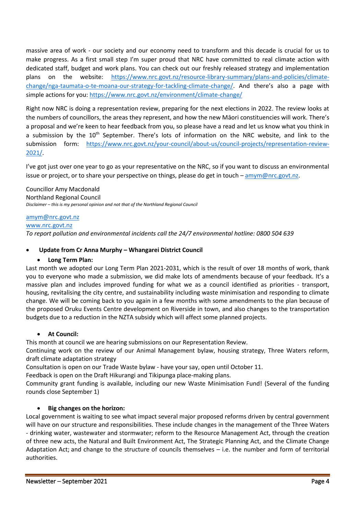massive area of work - our society and our economy need to transform and this decade is crucial for us to make progress. As a first small step I'm super proud that NRC have committed to real climate action with dedicated staff, budget and work plans. You can check out our freshly released strategy and implementation plans on the website: [https://www.nrc.govt.nz/resource-library-summary/plans-and-policies/climate](https://www.nrc.govt.nz/resource-library-summary/plans-and-policies/climate-change/nga-taumata-o-te-moana-our-strategy-for-tackling-climate-change/)[change/nga-taumata-o-te-moana-our-strategy-for-tackling-climate-change/](https://www.nrc.govt.nz/resource-library-summary/plans-and-policies/climate-change/nga-taumata-o-te-moana-our-strategy-for-tackling-climate-change/). And there's also a page with simple actions for you[: https://www.nrc.govt.nz/environment/climate-change/](https://www.nrc.govt.nz/environment/climate-change/)

Right now NRC is doing a representation review, preparing for the next elections in 2022. The review looks at the numbers of councillors, the areas they represent, and how the new Māori constituencies will work. There's a proposal and we're keen to hear feedback from you, so please have a read and let us know what you think in a submission by the 10<sup>th</sup> September. There's lots of information on the NRC website, and link to the submission form: [https://www.nrc.govt.nz/your-council/about-us/council-projects/representation-review-](https://www.nrc.govt.nz/your-council/about-us/council-projects/representation-review-2021/)[2021/.](https://www.nrc.govt.nz/your-council/about-us/council-projects/representation-review-2021/)

I've got just over one year to go as your representative on the NRC, so if you want to discuss an environmental issue or project, or to share your perspective on things, please do get in touch - [amym@nrc.govt.nz.](mailto:amym@nrc.govt.nz)

Councillor Amy Macdonald Northland Regional Council *Disclaimer – this is my personal opinion and not that of the Northland Regional Council*

# [amym@nrc.govt.nz](mailto:amym@nrc.govt.nz)

# [www.nrc.govt.nz](http://www.nrc.govt.nz/)

*To report pollution and environmental incidents call the 24/7 environmental hotline: 0800 504 639*

# • **Update from Cr Anna Murphy – Whangarei District Council**

# • **Long Term Plan:**

Last month we adopted our Long Term Plan 2021-2031, which is the result of over 18 months of work, thank you to everyone who made a submission, we did make lots of amendments because of your feedback. It's a massive plan and includes improved funding for what we as a council identified as priorities - transport, housing, revitalising the city centre, and sustainability including waste minimisation and responding to climate change. We will be coming back to you again in a few months with some amendments to the plan because of the proposed Oruku Events Centre development on Riverside in town, and also changes to the transportation budgets due to a reduction in the NZTA subsidy which will affect some planned projects.

### • **At Council:**

This month at council we are hearing submissions on our Representation Review.

Continuing work on the review of our Animal Management bylaw, housing strategy, Three Waters reform, draft climate adaptation strategy

Consultation is open on our Trade Waste bylaw - have your say, open until October 11.

Feedback is open on the Draft Hikurangi and Tikipunga place-making plans.

Community grant funding is available, including our new Waste Minimisation Fund! (Several of the funding rounds close September 1)

# • **Big changes on the horizon:**

Local government is waiting to see what impact several major proposed reforms driven by central government will have on our structure and responsibilities. These include changes in the management of the Three Waters - drinking water, wastewater and stormwater; reform to the Resource Management Act, through the creation of three new acts, the Natural and Built Environment Act, The Strategic Planning Act, and the Climate Change Adaptation Act; and change to the structure of councils themselves – i.e. the number and form of territorial authorities.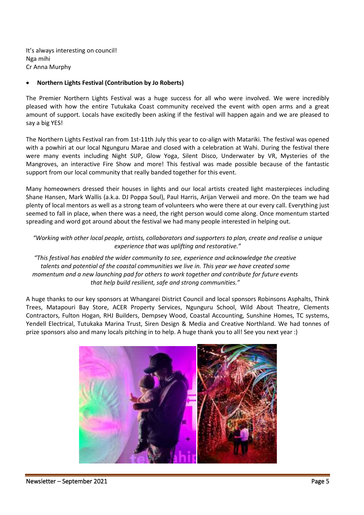It's always interesting on council! Nga mihi Cr Anna Murphy

# • **Northern Lights Festival (Contribution by Jo Roberts)**

The Premier Northern Lights Festival was a huge success for all who were involved. We were incredibly pleased with how the entire Tutukaka Coast community received the event with open arms and a great amount of support. Locals have excitedly been asking if the festival will happen again and we are pleased to say a big YES!

The Northern Lights Festival ran from 1st-11th July this year to co-align with Matariki. The festival was opened with a powhiri at our local Ngunguru Marae and closed with a celebration at Wahi. During the festival there were many events including Night SUP, Glow Yoga, Silent Disco, Underwater by VR, Mysteries of the Mangroves, an interactive Fire Show and more! This festival was made possible because of the fantastic support from our local community that really banded together for this event.

Many homeowners dressed their houses in lights and our local artists created light masterpieces including Shane Hansen, Mark Wallis (a.k.a. DJ Poppa Soul), Paul Harris, Arijan Verweii and more. On the team we had plenty of local mentors as well as a strong team of volunteers who were there at our every call. Everything just seemed to fall in place, when there was a need, the right person would come along. Once momentum started spreading and word got around about the festival we had many people interested in helping out.

*"Working with other local people, artists, collaborators and supporters to plan, create and realise a unique experience that was uplifting and restorative."*

*"This festival has enabled the wider community to see, experience and acknowledge the creative talents and potential of the coastal communities we live in. This year we have created some momentum and a new launching pad for others to work together and contribute for future events that help build resilient, safe and strong communities."*

A huge thanks to our key sponsors at Whangarei District Council and local sponsors Robinsons Asphalts, Think Trees, Matapouri Bay Store, ACER Property Services, Ngunguru School, Wild About Theatre, Clements Contractors, Fulton Hogan, RHJ Builders, Dempsey Wood, Coastal Accounting, Sunshine Homes, TC systems, Yendell Electrical, Tutukaka Marina Trust, Siren Design & Media and Creative Northland. We had tonnes of prize sponsors also and many locals pitching in to help. A huge thank you to all! See you next year :)